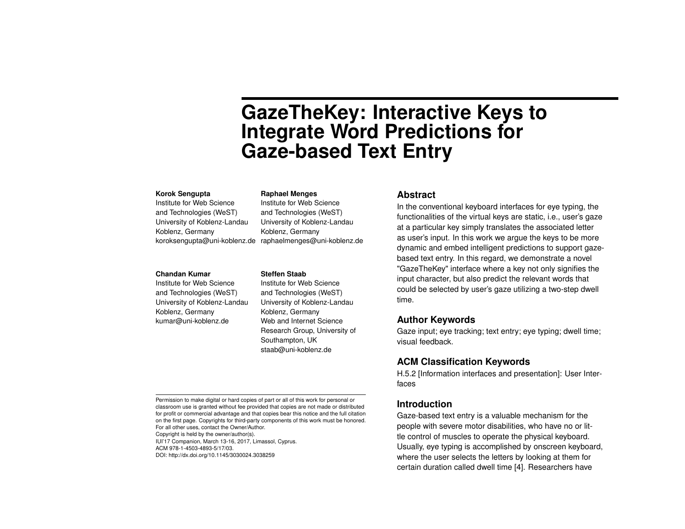# **GazeTheKey: Interactive Keys to Integrate Word Predictions for Gaze-based Text Entry**

#### **Korok Sengupta**

Institute for Web Science and Technologies (WeST) University of Koblenz-Landau Koblenz, Germany koroksengupta@uni-koblenz.de raphaelmenges@uni-koblenz.de

#### **Chandan Kumar**

Institute for Web Science and Technologies (WeST) University of Koblenz-Landau Koblenz, Germany kumar@uni-koblenz.de

#### **Raphael Menges**

Institute for Web Science and Technologies (WeST) University of Koblenz-Landau Koblenz, Germany

#### **Steffen Staab**

Institute for Web Science and Technologies (WeST) University of Koblenz-Landau Koblenz, Germany Web and Internet Science Research Group, University of Southampton, UK staab@uni-koblenz.de

### **Abstract**

In the conventional keyboard interfaces for eye typing, the functionalities of the virtual keys are static, i.e., user's gaze at a particular key simply translates the associated letter as user's input. In this work we argue the keys to be more dynamic and embed intelligent predictions to support gazebased text entry. In this regard, we demonstrate a novel "GazeTheKey" interface where a key not only signifies the input character, but also predict the relevant words that could be selected by user's gaze utilizing a two-step dwell time.

# **Author Keywords**

Gaze input; eye tracking; text entry; eye typing; dwell time; visual feedback.

# **ACM Classification Keywords**

H.5.2 [Information interfaces and presentation]: User Interfaces

## **Introduction**

Gaze-based text entry is a valuable mechanism for the people with severe motor disabilities, who have no or little control of muscles to operate the physical keyboard. Usually, eye typing is accomplished by onscreen keyboard, where the user selects the letters by looking at them for certain duration called dwell time [\[4\]](#page-3-0). Researchers have

Copyright is held by the owner/author(s).

IUI'17 Companion, March 13-16, 2017, Limassol, Cyprus.

ACM 978-1-4503-4893-5/17/03.

DOI: http://dx.doi.org/10.1145/3030024.3038259

Permission to make digital or hard copies of part or all of this work for personal or classroom use is granted without fee provided that copies are not made or distributed for profit or commercial advantage and that copies bear this notice and the full citation on the first page. Copyrights for third-party components of this work must be honored. For all other uses, contact the Owner/Author.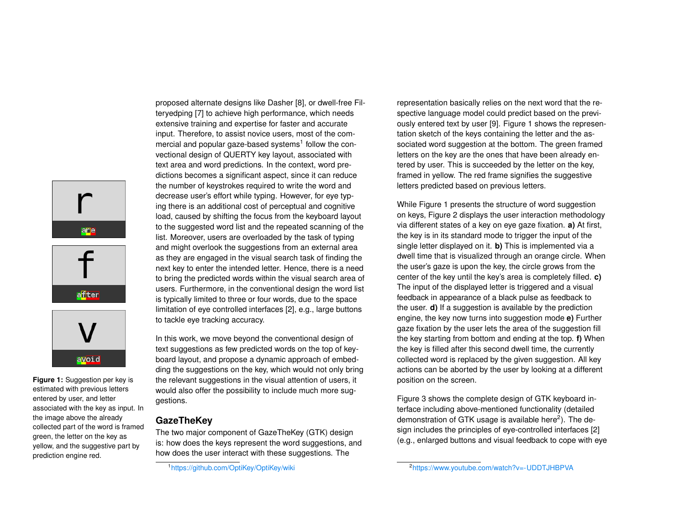



<span id="page-1-1"></span>**Figure 1:** Suggestion per key is estimated with previous letters entered by user, and letter associated with the key as input. In the image above the already collected part of the word is framed green, the letter on the key as yellow, and the suggestive part by prediction engine red.

proposed alternate designs like Dasher [\[8\]](#page-3-1), or dwell-free Filteryedping [\[7\]](#page-3-2) to achieve high performance, which needs extensive training and expertise for faster and accurate input. Therefore, to assist novice users, most of the com-mercial and popular gaze-based systems<sup>[1](#page-1-0)</sup> follow the convectional design of QUERTY key layout, associated with text area and word predictions. In the context, word predictions becomes a significant aspect, since it can reduce the number of keystrokes required to write the word and decrease user's effort while typing. However, for eye typing there is an additional cost of perceptual and cognitive load, caused by shifting the focus from the keyboard layout to the suggested word list and the repeated scanning of the list. Moreover, users are overloaded by the task of typing and might overlook the suggestions from an external area as they are engaged in the visual search task of finding the next key to enter the intended letter. Hence, there is a need to bring the predicted words within the visual search area of users. Furthermore, in the conventional design the word list is typically limited to three or four words, due to the space limitation of eye controlled interfaces [\[2\]](#page-3-3), e.g., large buttons to tackle eye tracking accuracy.

In this work, we move beyond the conventional design of text suggestions as few predicted words on the top of keyboard layout, and propose a dynamic approach of embedding the suggestions on the key, which would not only bring the relevant suggestions in the visual attention of users, it would also offer the possibility to include much more suggestions.

# **GazeTheKey**

The two major component of GazeTheKey (GTK) design is: how does the keys represent the word suggestions, and how does the user interact with these suggestions. The

<span id="page-1-0"></span><sup>1</sup><https://github.com/OptiKey/OptiKey/wiki>

representation basically relies on the next word that the respective language model could predict based on the previously entered text by user [\[9\]](#page-3-4). Figure [1](#page-1-1) shows the representation sketch of the keys containing the letter and the associated word suggestion at the bottom. The green framed letters on the key are the ones that have been already entered by user. This is succeeded by the letter on the key, framed in yellow. The red frame signifies the suggestive letters predicted based on previous letters.

While Figure [1](#page-1-1) presents the structure of word suggestion on keys, Figure 2 displays the user interaction methodology via different states of a key on eye gaze fixation. **a)** At first, the key is in its standard mode to trigger the input of the single letter displayed on it. **b)** This is implemented via a dwell time that is visualized through an orange circle. When the user's gaze is upon the key, the circle grows from the center of the key until the key's area is completely filled. **c)** The input of the displayed letter is triggered and a visual feedback in appearance of a black pulse as feedback to the user. **d)** If a suggestion is available by the prediction engine, the key now turns into suggestion mode **e)** Further gaze fixation by the user lets the area of the suggestion fill the key starting from bottom and ending at the top. **f)** When the key is filled after this second dwell time, the currently collected word is replaced by the given suggestion. All key actions can be aborted by the user by looking at a different position on the screen.

Figure 3 shows the complete design of GTK keyboard interface including above-mentioned functionality (detailed demonstration of GTK usage is available here<sup>[2](#page-1-2)</sup>). The design includes the principles of eye-controlled interfaces [\[2\]](#page-3-3) (e.g., enlarged buttons and visual feedback to cope with eye

<span id="page-1-2"></span><sup>2</sup><https://www.youtube.com/watch?v=-UDDTJHBPVA>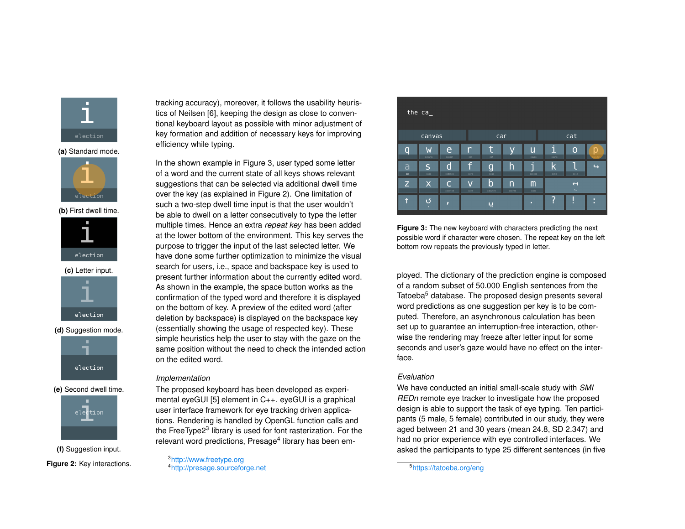

**(a)** Standard mode.



**(b)** First dwell time.



**(c)** Letter input.



**(d)** Suggestion mode.



**(e)** Second dwell time.



**(f)** Suggestion input. **Figure 2:** Key interactions. tracking accuracy), moreover, it follows the usability heuristics of Neilsen [\[6\]](#page-3-5), keeping the design as close to conventional keyboard layout as possible with minor adjustment of key formation and addition of necessary keys for improving efficiency while typing.

In the shown example in Figure 3, user typed some letter of a word and the current state of all keys shows relevant suggestions that can be selected via additional dwell time over the key (as explained in Figure 2). One limitation of such a two-step dwell time input is that the user wouldn't be able to dwell on a letter consecutively to type the letter multiple times. Hence an extra *repeat key* has been added at the lower bottom of the environment. This key serves the purpose to trigger the input of the last selected letter. We have done some further optimization to minimize the visual search for users, i.e., space and backspace key is used to present further information about the currently edited word. As shown in the example, the space button works as the confirmation of the typed word and therefore it is displayed on the bottom of key. A preview of the edited word (after deletion by backspace) is displayed on the backspace key (essentially showing the usage of respected key). These simple heuristics help the user to stay with the gaze on the same position without the need to check the intended action on the edited word.

## *Implementation*

The proposed keyboard has been developed as experimental eyeGUI [\[5\]](#page-3-6) element in C++. eyeGUI is a graphical user interface framework for eye tracking driven applications. Rendering is handled by OpenGL function calls and the FreeType2<sup>[3](#page-2-0)</sup> library is used for font rasterization. For the relevant word predictions, Presage<sup>[4](#page-2-1)</sup> library has been em-

<span id="page-2-1"></span><span id="page-2-0"></span><sup>3</sup><http://www.freetype.org> <sup>4</sup><http://presage.sourceforge.net>



**Figure 3:** The new keyboard with characters predicting the next possible word if character were chosen. The repeat key on the left bottom row repeats the previously typed in letter.

ployed. The dictionary of the prediction engine is composed of a random subset of 50.000 English sentences from the Tatoeba<sup>[5](#page-2-2)</sup> database. The proposed design presents several word predictions as one suggestion per key is to be computed. Therefore, an asynchronous calculation has been set up to guarantee an interruption-free interaction, otherwise the rendering may freeze after letter input for some seconds and user's gaze would have no effect on the interface.

## *Evaluation*

We have conducted an initial small-scale study with *SMI REDn* remote eye tracker to investigate how the proposed design is able to support the task of eye typing. Ten participants (5 male, 5 female) contributed in our study, they were aged between 21 and 30 years (mean 24.8, SD 2.347) and had no prior experience with eye controlled interfaces. We asked the participants to type 25 different sentences (in five

<span id="page-2-2"></span>5<https://tatoeba.org/eng>